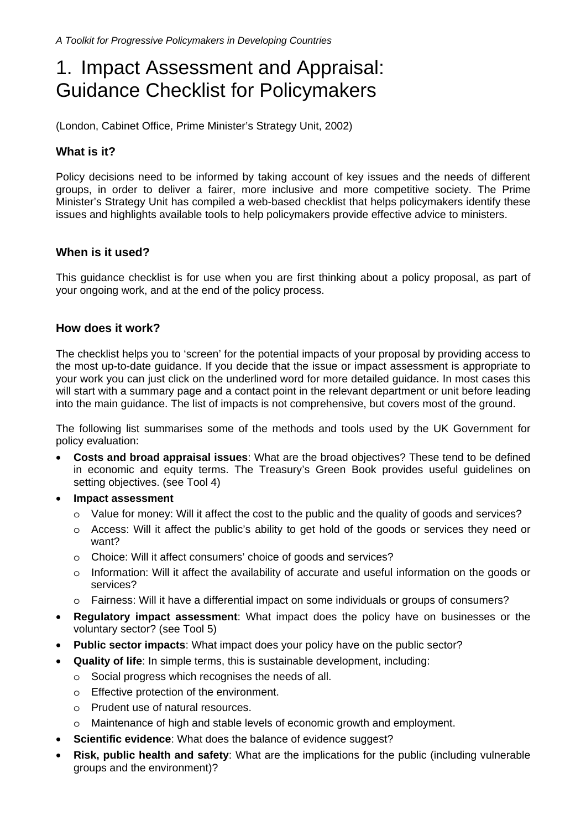# 1. Impact Assessment and Appraisal: Guidance Checklist for Policymakers

(London, Cabinet Office, Prime Minister's Strategy Unit, 2002)

## **What is it?**

Policy decisions need to be informed by taking account of key issues and the needs of different groups, in order to deliver a fairer, more inclusive and more competitive society. The Prime Minister's Strategy Unit has compiled a web-based checklist that helps policymakers identify these issues and highlights available tools to help policymakers provide effective advice to ministers.

#### **When is it used?**

This guidance checklist is for use when you are first thinking about a policy proposal, as part of your ongoing work, and at the end of the policy process.

### **How does it work?**

The checklist helps you to 'screen' for the potential impacts of your proposal by providing access to the most up-to-date guidance. If you decide that the issue or impact assessment is appropriate to your work you can just click on the underlined word for more detailed guidance. In most cases this will start with a summary page and a contact point in the relevant department or unit before leading into the main guidance. The list of impacts is not comprehensive, but covers most of the ground.

The following list summarises some of the methods and tools used by the UK Government for policy evaluation:

- **Costs and broad appraisal issues**: What are the broad objectives? These tend to be defined in economic and equity terms. The Treasury's Green Book provides useful guidelines on setting objectives. (see Tool 4)
- **Impact assessment**
	- o Value for money: Will it affect the cost to the public and the quality of goods and services?
	- o Access: Will it affect the public's ability to get hold of the goods or services they need or want?
	- o Choice: Will it affect consumers' choice of goods and services?
	- o Information: Will it affect the availability of accurate and useful information on the goods or services?
	- o Fairness: Will it have a differential impact on some individuals or groups of consumers?
- **Regulatory impact assessment**: What impact does the policy have on businesses or the voluntary sector? (see Tool 5)
- **Public sector impacts**: What impact does your policy have on the public sector?
- **Quality of life**: In simple terms, this is sustainable development, including:
	- o Social progress which recognises the needs of all.
	- o Effective protection of the environment.
	- o Prudent use of natural resources.
	- o Maintenance of high and stable levels of economic growth and employment.
	- **Scientific evidence:** What does the balance of evidence suggest?
- **Risk, public health and safety**: What are the implications for the public (including vulnerable groups and the environment)?